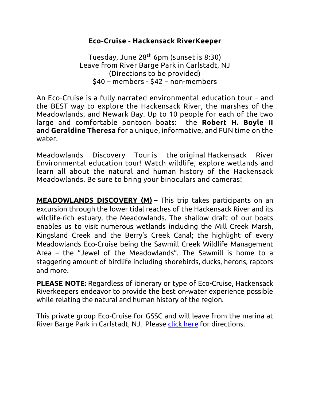#### Eco-Cruise - Hackensack RiverKeeper

Tuesday, June  $28<sup>th</sup>$  6pm (sunset is 8:30) Leave from River Barge Park in Carlstadt, NJ (Directions to be provided) \$40 – members - \$42 – non-members

An Eco-Cruise is a fully narrated environmental education tour – and the BEST way to explore the Hackensack River, the marshes of the Meadowlands, and Newark Bay. Up to 10 people for each of the two large and comfortable pontoon boats: the Robert H. Boyle II and Geraldine Theresa for a unique, informative, and FUN time on the water.

Meadowlands Discovery Tour is the original Hackensack River Environmental education tour! Watch wildlife, explore wetlands and learn all about the natural and human history of the Hackensack Meadowlands. Be sure to bring your binoculars and cameras!

MEADOWLANDS DISCOVERY (M) - This trip takes participants on an excursion through the lower tidal reaches of the Hackensack River and its wildlife-rich estuary, the Meadowlands. The shallow draft of our boats enables us to visit numerous wetlands including the Mill Creek Marsh, Kingsland Creek and the Berry's Creek Canal; the highlight of every Meadowlands Eco-Cruise being the Sawmill Creek Wildlife Management Area – the "Jewel of the Meadowlands". The Sawmill is home to a staggering amount of birdlife including shorebirds, ducks, herons, raptors and more.

PLEASE NOTE: Regardless of itinerary or type of Eco-Cruise, Hackensack Riverkeepers endeavor to provide the best on-water experience possible while relating the natural and human history of the region.

This private group Eco-Cruise for GSSC and will leave from the marina at River Barge Park in Carlstadt, NJ. Please click here for directions.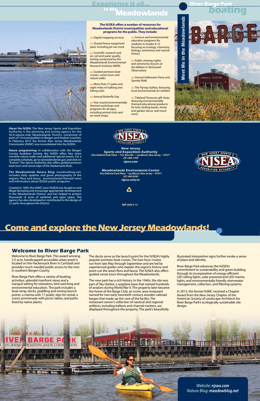*Website: njsea.com Nature Blog: meadowblog.net*

## **Come and explore the New Jersey Meadowlands!**

Welcome to River Barge Park. This award winning 5.5-acre, handicapped-accessible urban jewel is located on the Hackensack River in Carlstadt and provides much-needed public access to the river in southern Bergen County.

River Barge Park offers a variety of boating activities, splendid riverfront views and a tranquil setting for relaxation, bird watching and environmental education. The park includes a boat ramp, docks, paddling and rowing launch points, a marina with 17 public slips for rental, a scenic promenade with picnic tables, and paths lined by native plants.

**NDS COM** 

**SION** 

The docks serve as the launch point for the NJSEA's highly popular pontoon boat cruises. The two-hour cruises run from late May through September and are led by experienced guides who explain the region's history and point out the area's flora and fauna. The NJSEA also offers guided canoe tours throughout the Meadowlands.

**Shared heavy equipment** pool, including jet-vac truck

The new park has a rich history. In the 1940s, the site was part of Sky Harbor, a seaplane base that trained hundreds of aviators during World War II. The property later became the home of the Barge Club, an iconic area restaurant named for two early twentieth century wooden railroad barges that made up the core of the facility. The restaurant owner's collection of nautical and regional artifacts, including ballasts and channel markers, are displayed throughout the property. The park's beautifully

**DDLE CENTER** 

**Scientific research and** air, soil and water quality testing conducted by the Meadowlands Environmental Research Institute (MERI)

Guided pontoon boat cruises, canoe tours and

More than 21 parks and eight miles of walking and hiking trails

Annual Butterfly Day

**Science and environmental** education programs for students in Grades K-12 focusing on ecology, chemistry, biology, astronomy and natural history

t Public viewing nights and astronomy lessons at the William D. McDowell **Observatory** 

#### **Welcome to River Barge Park**

illustrated interpretive signs further evoke a sense of place and identity.

**WAN** The Flyway Gallery, featuring local environmental art exhibits

**Tideland Treasures gift shop,** featuring environmentally themed educational products for kids, birding books, home and garden decor, and much more.

> River Barge Park advances the NJSEA's commitment to sustainability and green building through its incorporation of energy-efficient LED railing lights, solar powered and LED marina lights, and environmentally friendly stormwater management, collection, and filtering systems.

In 2013, the former NJMC received a Chapter Award from the New Jersey Chapter of the American Society of Landscape Architects for River Barge Park's ecologically sustainable site design.





*RBP 2000 5-13*



**River Barge Park**

### **programs for the public. They include:**

t Digital mapping services

# **boating Experience it all...**<br>Experience it all...<br>In the Meadowlands

## **The NJSEA offers a number of resources for Meadowlands District municipalities and educational CERTIFICATE** nature walks

t Year-round environmentally themed workshops and programs for all ages, including animal visits and art work shops

t Annual Halloween Party and Spooky Walk

**New Jersey Sports and Exposition Authority** *One DeKorte Park Plaza* **•** *P.O. Box 640* **•** *Lyndhurst, New Jersey* **•** *07071 201.460.1700* **njsea.com**

> **Meadowlands Environment Center** *Two DeKorte Park Plaza* **•** *Lyndhurst, New Jersey* **•** *07071 201.460.8300* **njsea.com/ec**

**About the NJSEA: The New Jersey Sports and Exposition Authority is the planning and zoning agency for the 30.4-square-mile Meadowlands District, comprised of parts of 14 municipalities in Bergen and Hudson counties. In February 2015 the former New Jersey Meadowlands Commission (NJMC) was consolidated into the NJSEA.**

**Nature programming: In collaboration with the Bergen County Audubon Society, the NJSEA offers free twice monthly nature walks and additional special events. For a complete schedule, go to njmeadowlands.gov and click on "Events." The Sports Authority also offers guided pontoon boat tours and canoe trips of the Hackensack River.** 

**The Meadowlands Nature Blog: meadowblog.net, includes daily updates and great photography of the region's flora and fauna, environmental-themed news and information about NJSEA public programs.** 

**Created in 1969, the NJMC (now NJSEA) has fought to end illegal dumping and encourage appropriate development in the Meadowlands District, and has helped to protect thousands of acres of wetlands and open space. The agency has also developed or contributed to the design of 21 parks throughout the District.**